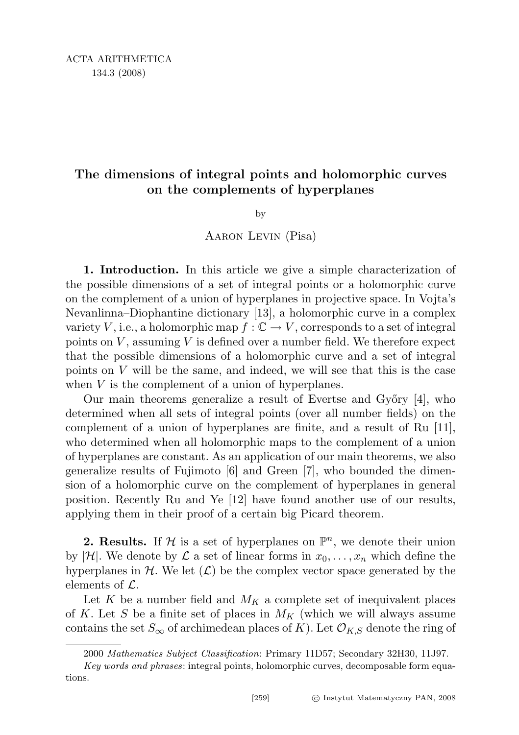# The dimensions of integral points and holomorphic curves on the complements of hyperplanes

by

## Aaron Levin (Pisa)

1. Introduction. In this article we give a simple characterization of the possible dimensions of a set of integral points or a holomorphic curve on the complement of a union of hyperplanes in projective space. In Vojta's Nevanlinna–Diophantine dictionary [13], a holomorphic curve in a complex variety V, i.e., a holomorphic map  $f : \mathbb{C} \to V$ , corresponds to a set of integral points on  $V$ , assuming  $V$  is defined over a number field. We therefore expect that the possible dimensions of a holomorphic curve and a set of integral points on  $V$  will be the same, and indeed, we will see that this is the case when  $V$  is the complement of a union of hyperplanes.

Our main theorems generalize a result of Evertse and Győry [4], who determined when all sets of integral points (over all number fields) on the complement of a union of hyperplanes are finite, and a result of Ru [11], who determined when all holomorphic maps to the complement of a union of hyperplanes are constant. As an application of our main theorems, we also generalize results of Fujimoto [6] and Green [7], who bounded the dimension of a holomorphic curve on the complement of hyperplanes in general position. Recently Ru and Ye [12] have found another use of our results, applying them in their proof of a certain big Picard theorem.

**2. Results.** If  $\mathcal{H}$  is a set of hyperplanes on  $\mathbb{P}^n$ , we denote their union by |H|. We denote by  $\mathcal L$  a set of linear forms in  $x_0, \ldots, x_n$  which define the hyperplanes in  $H$ . We let  $(\mathcal{L})$  be the complex vector space generated by the elements of  $\mathcal{L}$ .

Let K be a number field and  $M_K$  a complete set of inequivalent places of K. Let S be a finite set of places in  $M_K$  (which we will always assume contains the set  $S_{\infty}$  of archimedean places of K). Let  $\mathcal{O}_{K,S}$  denote the ring of

<sup>2000</sup> Mathematics Subject Classification: Primary 11D57; Secondary 32H30, 11J97.

Key words and phrases: integral points, holomorphic curves, decomposable form equations.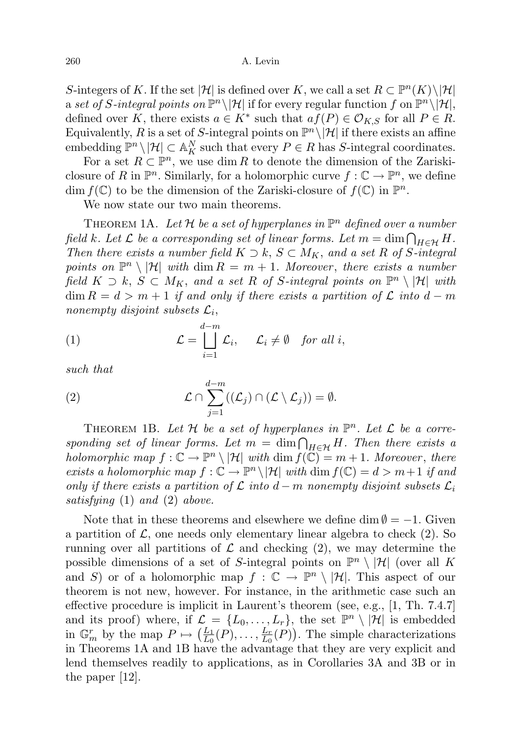S-integers of K. If the set |H| is defined over K, we call a set  $R \subset \mathbb{P}^n(K) \setminus |\mathcal{H}|$ a set of S-integral points on  $\mathbb{P}^n \setminus |\mathcal{H}|$  if for every regular function f on  $\mathbb{P}^n \setminus |\mathcal{H}|$ , defined over K, there exists  $a \in K^*$  such that  $af(P) \in \mathcal{O}_{K,S}$  for all  $P \in R$ . Equivalently, R is a set of S-integral points on  $\mathbb{P}^n \setminus |\mathcal{H}|$  if there exists an affine embedding  $\mathbb{P}^n \setminus |\mathcal{H}| \subset \mathbb{A}^N_K$  such that every  $P \in R$  has S-integral coordinates.

For a set  $R \subset \mathbb{P}^n$ , we use dim R to denote the dimension of the Zariskiclosure of R in  $\mathbb{P}^n$ . Similarly, for a holomorphic curve  $f: \mathbb{C} \to \mathbb{P}^n$ , we define dim  $f(\mathbb{C})$  to be the dimension of the Zariski-closure of  $f(\mathbb{C})$  in  $\mathbb{P}^n$ .

We now state our two main theorems.

THEOREM 1A. Let H be a set of hyperplanes in  $\mathbb{P}^n$  defined over a number field k. Let  $\mathcal L$  be a corresponding set of linear forms. Let  $m=\dim \bigcap_{H\in\mathcal H}H$ . Then there exists a number field  $K \supset k$ ,  $S \subset M_K$ , and a set R of S-integral points on  $\mathbb{P}^n \setminus |\mathcal{H}|$  with  $\dim R = m + 1$ . Moreover, there exists a number field  $K \supset k$ ,  $S \subset M_K$ , and a set R of S-integral points on  $\mathbb{P}^n \setminus |\mathcal{H}|$  with  $\dim R = d > m + 1$  if and only if there exists a partition of  $\mathcal L$  into  $d - m$ nonempty disjoint subsets  $\mathcal{L}_i$ ,

(1) 
$$
\mathcal{L} = \bigsqcup_{i=1}^{d-m} \mathcal{L}_i, \quad \mathcal{L}_i \neq \emptyset \quad \text{for all } i,
$$

such that

(2) 
$$
\mathcal{L} \cap \sum_{j=1}^{d-m} ((\mathcal{L}_j) \cap (\mathcal{L} \setminus \mathcal{L}_j)) = \emptyset.
$$

THEOREM 1B. Let  $H$  be a set of hyperplanes in  $\mathbb{P}^n$ . Let  $L$  be a corresponding set of linear forms. Let  $m = \dim \bigcap_{H \in \mathcal{H}} H$ . Then there exists a holomorphic map  $f: \mathbb{C} \to \mathbb{P}^n \setminus |\mathcal{H}|$  with  $\dim f(\mathbb{C}) = m + 1$ . Moreover, there exists a holomorphic map  $f: \mathbb{C} \to \mathbb{P}^n \setminus |\mathcal{H}|$  with  $\dim f(\mathbb{C}) = d > m+1$  if and only if there exists a partition of  $\mathcal L$  into d – m nonempty disjoint subsets  $\mathcal L_i$ satisfying (1) and (2) above.

Note that in these theorems and elsewhere we define dim  $\emptyset = -1$ . Given a partition of  $\mathcal{L}$ , one needs only elementary linear algebra to check (2). So running over all partitions of  $\mathcal L$  and checking (2), we may determine the possible dimensions of a set of S-integral points on  $\mathbb{P}^n \setminus |\mathcal{H}|$  (over all K and S) or of a holomorphic map  $f : \mathbb{C} \to \mathbb{P}^n \setminus |\mathcal{H}|$ . This aspect of our theorem is not new, however. For instance, in the arithmetic case such an effective procedure is implicit in Laurent's theorem (see, e.g., [1, Th. 7.4.7] and its proof) where, if  $\mathcal{L} = \{L_0, \ldots, L_r\}$ , the set  $\mathbb{P}^n \setminus |\mathcal{H}|$  is embedded in  $\mathbb{G}_m^r$  by the map  $P \mapsto \left(\frac{L_1}{L_0}\right)$  $\frac{L_1}{L_0}(P),\ldots,\frac{L_r}{L_0}$  $\frac{L_r}{L_0}(P)$ . The simple characterizations in Theorems 1A and 1B have the advantage that they are very explicit and lend themselves readily to applications, as in Corollaries 3A and 3B or in the paper [12].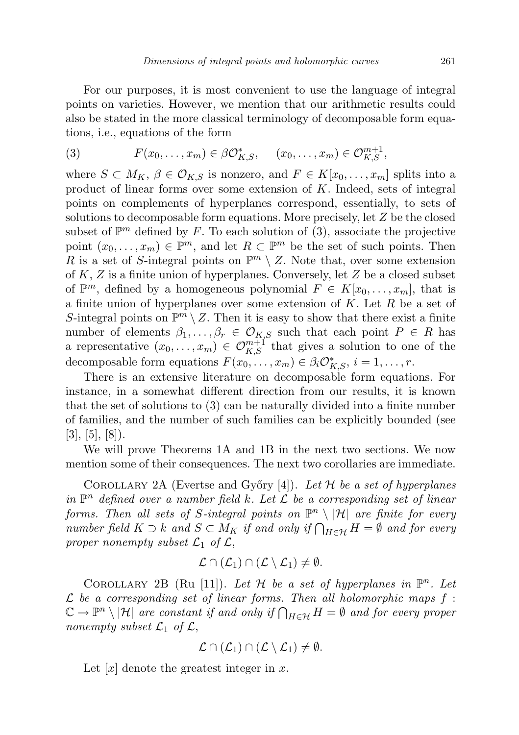For our purposes, it is most convenient to use the language of integral points on varieties. However, we mention that our arithmetic results could also be stated in the more classical terminology of decomposable form equations, i.e., equations of the form

(3) 
$$
F(x_0, \ldots, x_m) \in \beta \mathcal{O}_{K,S}^*, \quad (x_0, \ldots, x_m) \in \mathcal{O}_{K,S}^{m+1},
$$

where  $S \subset M_K$ ,  $\beta \in \mathcal{O}_{K,S}$  is nonzero, and  $F \in K[x_0,\ldots,x_m]$  splits into a product of linear forms over some extension of K. Indeed, sets of integral points on complements of hyperplanes correspond, essentially, to sets of solutions to decomposable form equations. More precisely, let Z be the closed subset of  $\mathbb{P}^m$  defined by F. To each solution of (3), associate the projective point  $(x_0, \ldots, x_m) \in \mathbb{P}^m$ , and let  $R \subset \mathbb{P}^m$  be the set of such points. Then R is a set of S-integral points on  $\mathbb{P}^m \setminus Z$ . Note that, over some extension of  $K, Z$  is a finite union of hyperplanes. Conversely, let  $Z$  be a closed subset of  $\mathbb{P}^m$ , defined by a homogeneous polynomial  $F \in K[x_0, \ldots, x_m]$ , that is a finite union of hyperplanes over some extension of  $K$ . Let  $R$  be a set of S-integral points on  $\mathbb{P}^m \setminus Z$ . Then it is easy to show that there exist a finite number of elements  $\beta_1, \ldots, \beta_r \in \mathcal{O}_{K,S}$  such that each point  $P \in R$  has a representative  $(x_0, \ldots, x_m) \in \mathcal{O}_{K,S}^{m+1}$  that gives a solution to one of the decomposable form equations  $F(x_0, \ldots, x_m) \in \beta_i \mathcal{O}_{K,S}^*, i = 1, \ldots, r$ .

There is an extensive literature on decomposable form equations. For instance, in a somewhat different direction from our results, it is known that the set of solutions to (3) can be naturally divided into a finite number of families, and the number of such families can be explicitly bounded (see  $[3], [5], [8]$ .

We will prove Theorems 1A and 1B in the next two sections. We now mention some of their consequences. The next two corollaries are immediate.

COROLLARY 2A (Evertse and Győry [4]). Let  $\mathcal H$  be a set of hyperplanes in  $\mathbb{P}^n$  defined over a number field k. Let  $\mathcal L$  be a corresponding set of linear forms. Then all sets of S-integral points on  $\mathbb{P}^n \setminus |\mathcal{H}|$  are finite for every number field  $K \supset k$  and  $S \subset M_K$  if and only if  $\bigcap_{H \in \mathcal{H}} H = \emptyset$  and for every proper nonempty subset  $\mathcal{L}_1$  of  $\mathcal{L}$ ,

$$
\mathcal{L} \cap (\mathcal{L}_1) \cap (\mathcal{L} \setminus \mathcal{L}_1) \neq \emptyset.
$$

COROLLARY 2B (Ru [11]). Let  $H$  be a set of hyperplanes in  $\mathbb{P}^n$ . Let  $\mathcal L$  be a corresponding set of linear forms. Then all holomorphic maps  $f$ :  $\mathbb{C} \to \mathbb{P}^n \setminus |\mathcal{H}|$  are constant if and only if  $\bigcap_{H \in \mathcal{H}} H = \emptyset$  and for every proper nonempty subset  $\mathcal{L}_1$  of  $\mathcal{L}$ ,

$$
\mathcal{L} \cap (\mathcal{L}_1) \cap (\mathcal{L} \setminus \mathcal{L}_1) \neq \emptyset.
$$

Let  $[x]$  denote the greatest integer in x.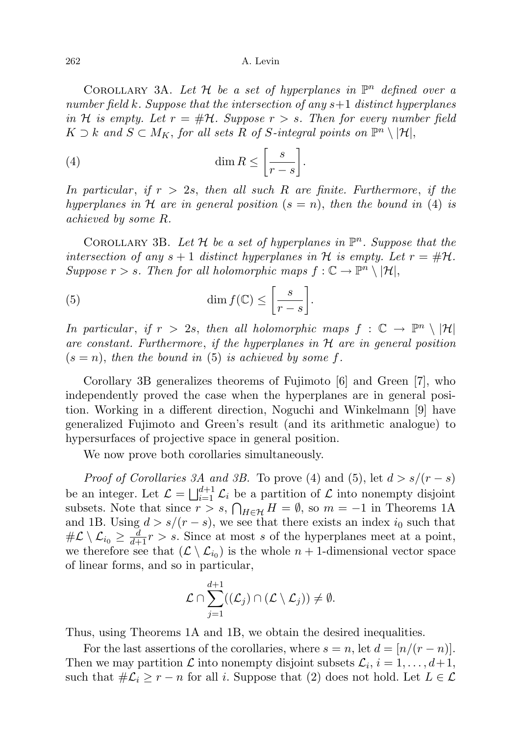COROLLARY 3A. Let  $H$  be a set of hyperplanes in  $\mathbb{P}^n$  defined over a number field k. Suppose that the intersection of any  $s+1$  distinct hyperplanes in H is empty. Let  $r = #H$ . Suppose  $r > s$ . Then for every number field  $K \supset k$  and  $S \subset M_K$ , for all sets R of S-integral points on  $\mathbb{P}^n \setminus |\mathcal{H}|$ ,

(4) 
$$
\dim R \le \left[\frac{s}{r-s}\right].
$$

In particular, if  $r > 2s$ , then all such R are finite. Furthermore, if the hyperplanes in H are in general position  $(s = n)$ , then the bound in (4) is achieved by some R.

COROLLARY 3B. Let  $H$  be a set of hyperplanes in  $\mathbb{P}^n$ . Suppose that the intersection of any  $s + 1$  distinct hyperplanes in H is empty. Let  $r = #H$ . Suppose  $r > s$ . Then for all holomorphic maps  $f : \mathbb{C} \to \mathbb{P}^n \setminus |\mathcal{H}|$ ,

(5) 
$$
\dim f(\mathbb{C}) \le \left[\frac{s}{r-s}\right].
$$

In particular, if  $r > 2s$ , then all holomorphic maps  $f : \mathbb{C} \to \mathbb{P}^n \setminus |\mathcal{H}|$ are constant. Furthermore, if the hyperplanes in  $H$  are in general position  $(s = n)$ , then the bound in (5) is achieved by some f.

Corollary 3B generalizes theorems of Fujimoto [6] and Green [7], who independently proved the case when the hyperplanes are in general position. Working in a different direction, Noguchi and Winkelmann [9] have generalized Fujimoto and Green's result (and its arithmetic analogue) to hypersurfaces of projective space in general position.

We now prove both corollaries simultaneously.

*Proof of Corollaries 3A and 3B.* To prove (4) and (5), let  $d > s/(r - s)$ be an integer. Let  $\mathcal{L} = \bigsqcup_{i=1}^{d+1} \mathcal{L}_i$  be a partition of  $\mathcal L$  into nonempty disjoint subsets. Note that since  $r > s$ ,  $\bigcap_{H \in \mathcal{H}} H = \emptyset$ , so  $m = -1$  in Theorems 1A and 1B. Using  $d > s/(r - s)$ , we see that there exists an index  $i_0$  such that  $\#\mathcal{L} \setminus \mathcal{L}_{i_0} \geq \frac{d}{d+1}r > s.$  Since at most s of the hyperplanes meet at a point, we therefore see that  $(\mathcal{L} \setminus \mathcal{L}_{i_0})$  is the whole  $n + 1$ -dimensional vector space of linear forms, and so in particular,

$$
\mathcal{L} \cap \sum_{j=1}^{d+1} ((\mathcal{L}_j) \cap (\mathcal{L} \setminus \mathcal{L}_j)) \neq \emptyset.
$$

Thus, using Theorems 1A and 1B, we obtain the desired inequalities.

For the last assertions of the corollaries, where  $s = n$ , let  $d = \lfloor n/(r - n) \rfloor$ . Then we may partition  $\mathcal L$  into nonempty disjoint subsets  $\mathcal L_i$ ,  $i = 1, \ldots, d+1$ , such that  $\#\mathcal{L}_i \geq r - n$  for all i. Suppose that (2) does not hold. Let  $L \in \mathcal{L}$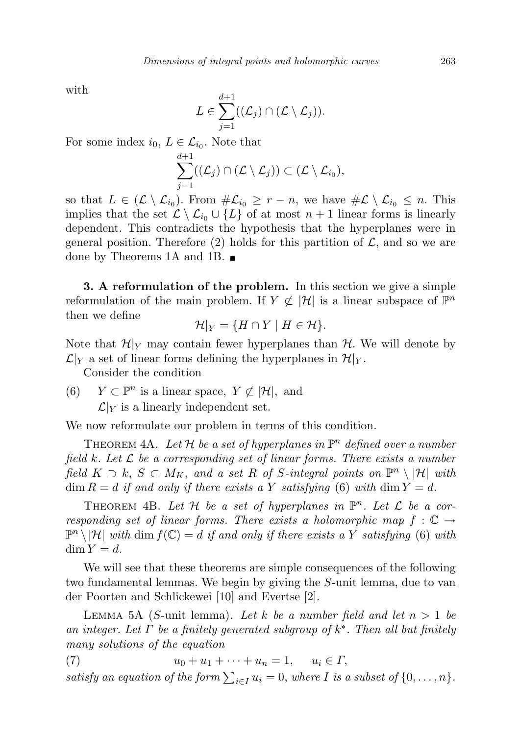with

$$
L \in \sum_{j=1}^{d+1} (({\mathcal L}_j) \cap ({\mathcal L} \setminus {\mathcal L}_j)).
$$

For some index  $i_0, L \in \mathcal{L}_{i_0}$ . Note that

$$
\sum_{j=1}^{d+1} ((\mathcal{L}_j) \cap (\mathcal{L} \setminus \mathcal{L}_j)) \subset (\mathcal{L} \setminus \mathcal{L}_{i_0}),
$$

so that  $L \in (\mathcal{L} \setminus \mathcal{L}_{i_0})$ . From  $\#\mathcal{L}_{i_0} \ge r - n$ , we have  $\#\mathcal{L} \setminus \mathcal{L}_{i_0} \le n$ . This implies that the set  $\mathcal{L} \setminus \mathcal{L}_{i_0} \cup \{L\}$  of at most  $n + 1$  linear forms is linearly dependent. This contradicts the hypothesis that the hyperplanes were in general position. Therefore (2) holds for this partition of  $\mathcal{L}$ , and so we are done by Theorems 1A and 1B.

3. A reformulation of the problem. In this section we give a simple reformulation of the main problem. If  $Y \not\subset |\mathcal{H}|$  is a linear subspace of  $\mathbb{P}^n$ then we define

$$
\mathcal{H}|_Y = \{H \cap Y \mid H \in \mathcal{H}\}.
$$

Note that  $\mathcal{H}|_Y$  may contain fewer hyperplanes than  $\mathcal{H}$ . We will denote by  $\mathcal{L}|_Y$  a set of linear forms defining the hyperplanes in  $\mathcal{H}|_Y$ .

Consider the condition

(6)  $Y \subset \mathbb{P}^n$  is a linear space,  $Y \not\subset |\mathcal{H}|$ , and  $\mathcal{L}|_Y$  is a linearly independent set.

We now reformulate our problem in terms of this condition.

THEOREM 4A. Let H be a set of hyperplanes in  $\mathbb{P}^n$  defined over a number field k. Let  $\mathcal L$  be a corresponding set of linear forms. There exists a number field  $K \supset k$ ,  $S \subset M_K$ , and a set R of S-integral points on  $\mathbb{P}^n \setminus |\mathcal{H}|$  with  $\dim R = d$  if and only if there exists a Y satisfying (6) with  $\dim Y = d$ .

THEOREM 4B. Let  $H$  be a set of hyperplanes in  $\mathbb{P}^n$ . Let  $\mathcal L$  be a corresponding set of linear forms. There exists a holomorphic map  $f : \mathbb{C} \to$  $\mathbb{P}^n \setminus |\mathcal{H}|$  with dim  $f(\mathbb{C}) = d$  if and only if there exists a Y satisfying (6) with  $\dim Y = d$ .

We will see that these theorems are simple consequences of the following two fundamental lemmas. We begin by giving the S-unit lemma, due to van der Poorten and Schlickewei [10] and Evertse [2].

LEMMA 5A (S-unit lemma). Let k be a number field and let  $n > 1$  be an integer. Let  $\Gamma$  be a finitely generated subgroup of  $k^*$ . Then all but finitely many solutions of the equation

(7)  $u_0 + u_1 + \cdots + u_n = 1, \quad u_i \in \Gamma,$ satisfy an equation of the form  $\sum_{i\in I} u_i = 0$ , where I is a subset of  $\{0, \ldots, n\}$ .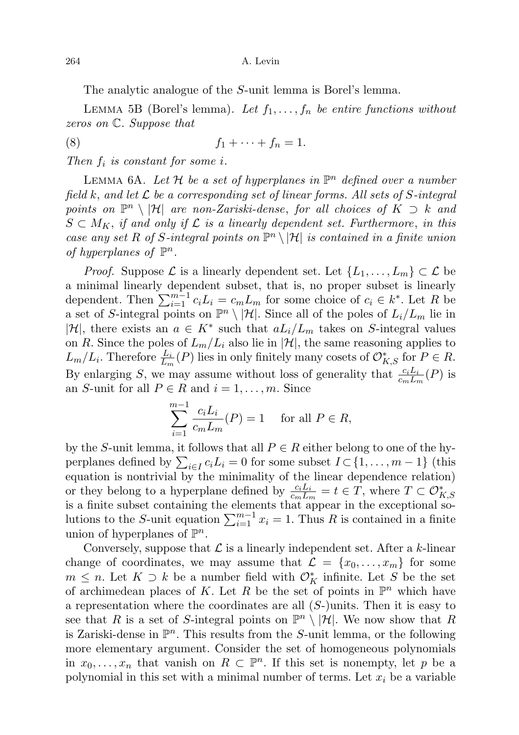The analytic analogue of the S-unit lemma is Borel's lemma.

LEMMA 5B (Borel's lemma). Let  $f_1, \ldots, f_n$  be entire functions without zeros on C. Suppose that

$$
(8) \t\t f_1 + \cdots + f_n = 1.
$$

Then  $f_i$  is constant for some i.

LEMMA 6A. Let H be a set of hyperplanes in  $\mathbb{P}^n$  defined over a number field k, and let  $\mathcal L$  be a corresponding set of linear forms. All sets of S-integral points on  $\mathbb{P}^n \setminus |\mathcal{H}|$  are non-Zariski-dense, for all choices of  $K \supset k$  and  $S \subset M_K$ , if and only if  $\mathcal L$  is a linearly dependent set. Furthermore, in this case any set R of S-integral points on  $\mathbb{P}^n \setminus |\mathcal{H}|$  is contained in a finite union of hyperplanes of  $\mathbb{P}^n$ .

*Proof.* Suppose  $\mathcal L$  is a linearly dependent set. Let  $\{L_1, \ldots, L_m\} \subset \mathcal L$  be a minimal linearly dependent subset, that is, no proper subset is linearly dependent. Then  $\sum_{i=1}^{m-1} c_i L_i = c_m L_m$  for some choice of  $c_i \in k^*$ . Let R be a set of S-integral points on  $\mathbb{P}^n \setminus |\mathcal{H}|$ . Since all of the poles of  $L_i/L_m$  lie in  $|\mathcal{H}|$ , there exists an  $a \in K^*$  such that  $aL_i/L_m$  takes on S-integral values on R. Since the poles of  $L_m/L_i$  also lie in  $|\mathcal{H}|$ , the same reasoning applies to  $L_m/L_i$ . Therefore  $\frac{L_i}{L_m}(P)$  lies in only finitely many cosets of  $\mathcal{O}_{K,S}^*$  for  $P \in R$ . By enlarging S, we may assume without loss of generality that  $\frac{c_iL_i}{c_mL_m}(P)$  is an S-unit for all  $P \in R$  and  $i = 1, \ldots, m$ . Since

$$
\sum_{i=1}^{m-1} \frac{c_i L_i}{c_m L_m}(P) = 1 \quad \text{for all } P \in R,
$$

by the S-unit lemma, it follows that all  $P \in \mathbb{R}$  either belong to one of the hyperplanes defined by  $\sum_{i \in I} c_i L_i = 0$  for some subset  $I \subset \{1, \ldots, m-1\}$  (this equation is nontrivial by the minimality of the linear dependence relation) or they belong to a hyperplane defined by  $\frac{c_i L_i}{c_m L_m} = t \in T$ , where  $T \subset \mathcal{O}_{K,S}^*$  is a finite subset containing the elements that appear in the exceptional solutions to the S-unit equation  $\sum_{i=1}^{m-1} x_i = 1$ . Thus R is contained in a finite union of hyperplanes of  $\mathbb{P}^n$ .

Conversely, suppose that  $\mathcal L$  is a linearly independent set. After a k-linear change of coordinates, we may assume that  $\mathcal{L} = \{x_0, \ldots, x_m\}$  for some  $m \leq n$ . Let  $K \supset k$  be a number field with  $\mathcal{O}_{K}^{*}$  infinite. Let S be the set of archimedean places of K. Let R be the set of points in  $\mathbb{P}^n$  which have a representation where the coordinates are all  $(S-)$ units. Then it is easy to see that R is a set of S-integral points on  $\mathbb{P}^n \setminus |\mathcal{H}|$ . We now show that R is Zariski-dense in  $\mathbb{P}^n$ . This results from the S-unit lemma, or the following more elementary argument. Consider the set of homogeneous polynomials in  $x_0, \ldots, x_n$  that vanish on  $R \subset \mathbb{P}^n$ . If this set is nonempty, let p be a polynomial in this set with a minimal number of terms. Let  $x_i$  be a variable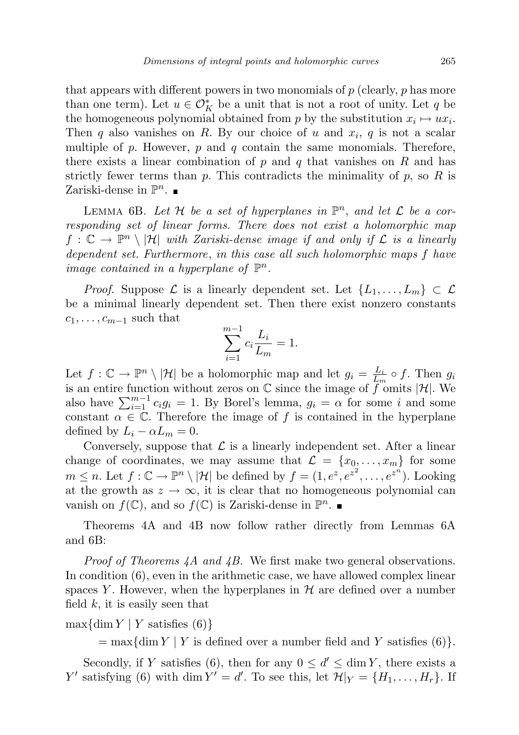that appears with different powers in two monomials of  $p$  (clearly,  $p$  has more than one term). Let  $u \in \mathcal{O}_K^*$  be a unit that is not a root of unity. Let  $q$  be the homogeneous polynomial obtained from p by the substitution  $x_i \mapsto ux_i$ . Then  $q$  also vanishes on  $R$ . By our choice of  $u$  and  $x_i$ ,  $q$  is not a scalar multiple of p. However, p and q contain the same monomials. Therefore, there exists a linear combination of  $p$  and  $q$  that vanishes on  $R$  and has strictly fewer terms than p. This contradicts the minimality of p, so R is Zariski-dense in  $\mathbb{P}^n$ .

LEMMA 6B. Let H be a set of hyperplanes in  $\mathbb{P}^n$ , and let L be a corresponding set of linear forms. There does not exist a holomorphic map  $f: \mathbb{C} \to \mathbb{P}^n \setminus |\mathcal{H}|$  with Zariski-dense image if and only if  $\mathcal{L}$  is a linearly dependent set. Furthermore, in this case all such holomorphic maps f have image contained in a hyperplane of  $\mathbb{P}^n$ .

*Proof.* Suppose  $\mathcal L$  is a linearly dependent set. Let  $\{L_1, \ldots, L_m\} \subset \mathcal L$ be a minimal linearly dependent set. Then there exist nonzero constants  $c_1, \ldots, c_{m-1}$  such that

$$
\sum_{i=1}^{m-1} c_i \frac{L_i}{L_m} = 1.
$$

Let  $f: \mathbb{C} \to \mathbb{P}^n \setminus |\mathcal{H}|$  be a holomorphic map and let  $g_i = \frac{L_i}{L_i}$  $rac{L_i}{L_m} \circ f$ . Then  $g_i$ is an entire function without zeros on  $\mathbb C$  since the image of  $\tilde{f}^m$  omits |H|. We also have  $\sum_{i=1}^{m-1} c_i g_i = 1$ . By Borel's lemma,  $g_i = \alpha$  for some i and some constant  $\alpha \in \mathbb{C}$ . Therefore the image of f is contained in the hyperplane defined by  $L_i - \alpha L_m = 0$ .

Conversely, suppose that  $\mathcal L$  is a linearly independent set. After a linear change of coordinates, we may assume that  $\mathcal{L} = \{x_0, \ldots, x_m\}$  for some  $m \leq n$ . Let  $f: \mathbb{C} \to \mathbb{P}^n \setminus |\mathcal{H}|$  be defined by  $f = (1, e^z, e^{z^2}, \dots, e^{z^n})$ . Looking at the growth as  $z \to \infty$ , it is clear that no homogeneous polynomial can vanish on  $f(\mathbb{C})$ , and so  $f(\mathbb{C})$  is Zariski-dense in  $\mathbb{P}^n$ .

Theorems 4A and 4B now follow rather directly from Lemmas 6A and 6B:

*Proof of Theorems 4A and 4B.* We first make two general observations. In condition (6), even in the arithmetic case, we have allowed complex linear spaces Y. However, when the hyperplanes in  $H$  are defined over a number field  $k$ , it is easily seen that

## $\max\{\dim Y \mid Y \text{ satisfies } (6)\}\$

 $=\max\{\dim Y \mid Y \text{ is defined over a number field and } Y \text{ satisfies (6)}\}.$ 

Secondly, if Y satisfies (6), then for any  $0 \le d' \le \dim Y$ , there exists a Y' satisfying (6) with dim  $Y' = d'$ . To see this, let  $\mathcal{H}|_Y = \{H_1, \ldots, H_r\}$ . If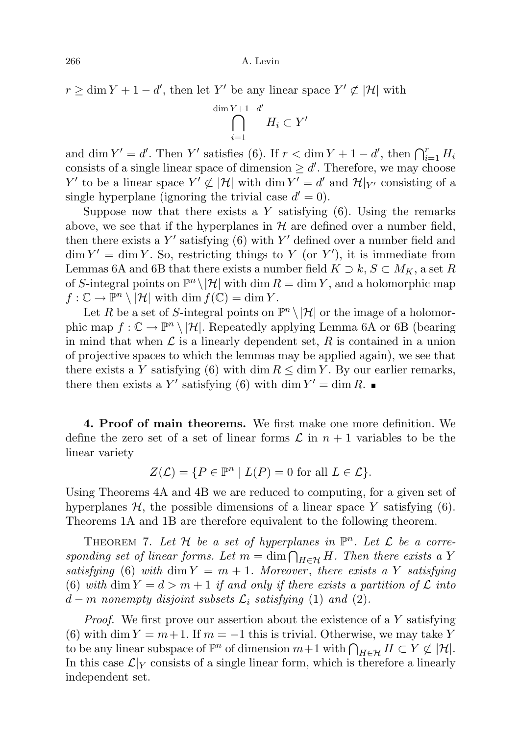$r \geq \dim Y + 1 - d'$ , then let Y' be any linear space  $Y' \not\subset |\mathcal{H}|$  with

$$
\bigcap_{i=1}^{\dim Y + 1 - d'} H_i \subset Y'
$$

and dim  $Y' = d'$ . Then Y' satisfies (6). If  $r < \dim Y + 1 - d'$ , then  $\bigcap_{i=1}^r H_i$ consists of a single linear space of dimension  $\geq d'$ . Therefore, we may choose Y' to be a linear space  $Y' \not\subset |\mathcal{H}|$  with  $\dim Y' = d'$  and  $\mathcal{H}|_{Y'}$  consisting of a single hyperplane (ignoring the trivial case  $d' = 0$ ).

Suppose now that there exists a  $Y$  satisfying  $(6)$ . Using the remarks above, we see that if the hyperplanes in  $H$  are defined over a number field, then there exists a  $Y'$  satisfying (6) with  $Y'$  defined over a number field and  $\dim Y' = \dim Y$ . So, restricting things to Y (or Y'), it is immediate from Lemmas 6A and 6B that there exists a number field  $K \supset k, S \subset M_K$ , a set R of S-integral points on  $\mathbb{P}^n \setminus |\mathcal{H}|$  with dim  $R = \dim Y$ , and a holomorphic map  $f: \mathbb{C} \to \mathbb{P}^n \setminus |\mathcal{H}|$  with  $\dim f(\mathbb{C}) = \dim Y$ .

Let R be a set of S-integral points on  $\mathbb{P}^n \setminus |\mathcal{H}|$  or the image of a holomorphic map  $f: \mathbb{C} \to \mathbb{P}^n \setminus |\mathcal{H}|$ . Repeatedly applying Lemma 6A or 6B (bearing in mind that when  $\mathcal L$  is a linearly dependent set, R is contained in a union of projective spaces to which the lemmas may be applied again), we see that there exists a Y satisfying (6) with dim  $R \leq \dim Y$ . By our earlier remarks, there then exists a Y' satisfying (6) with dim  $Y' = \dim R$ .

4. Proof of main theorems. We first make one more definition. We define the zero set of a set of linear forms  $\mathcal L$  in  $n+1$  variables to be the linear variety

$$
Z(\mathcal{L}) = \{ P \in \mathbb{P}^n \mid L(P) = 0 \text{ for all } L \in \mathcal{L} \}.
$$

Using Theorems 4A and 4B we are reduced to computing, for a given set of hyperplanes  $\mathcal{H}$ , the possible dimensions of a linear space Y satisfying (6). Theorems 1A and 1B are therefore equivalent to the following theorem.

THEOREM 7. Let H be a set of hyperplanes in  $\mathbb{P}^n$ . Let L be a corresponding set of linear forms. Let  $m = \dim \bigcap_{H \in \mathcal{H}} H$ . Then there exists a Y satisfying (6) with dim  $Y = m + 1$ . Moreover, there exists a Y satisfying (6) with dim  $Y = d > m + 1$  if and only if there exists a partition of  $\mathcal L$  into  $d-m$  nonempty disjoint subsets  $\mathcal{L}_i$  satisfying (1) and (2).

Proof. We first prove our assertion about the existence of a Y satisfying (6) with dim  $Y = m + 1$ . If  $m = -1$  this is trivial. Otherwise, we may take Y to be any linear subspace of  $\mathbb{P}^n$  of dimension  $m+1$  with  $\bigcap_{H\in\mathcal{H}}H\subset Y\not\subset |\mathcal{H}|$ . In this case  $\mathcal{L}|_Y$  consists of a single linear form, which is therefore a linearly independent set.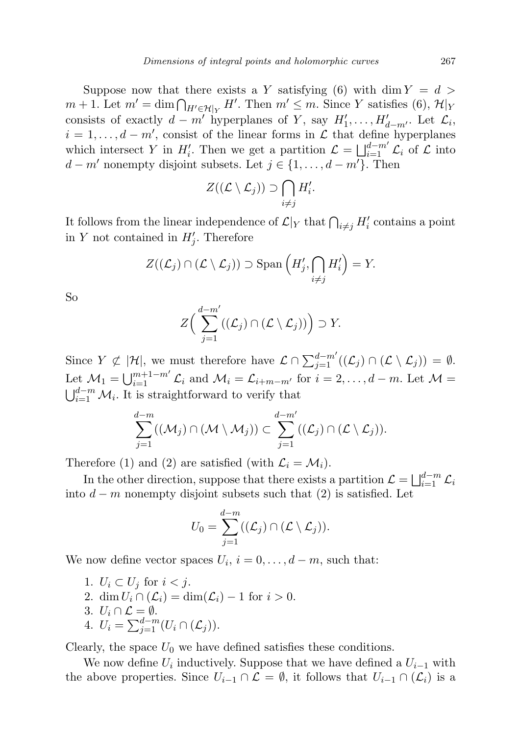Suppose now that there exists a Y satisfying (6) with dim  $Y = d$  $m + 1$ . Let  $m' = \dim \bigcap_{H' \in \mathcal{H}|_Y} H'$ . Then  $m' \leq m$ . Since Y satisfies (6),  $\mathcal{H}|_Y$ consists of exactly  $d - m'$  hyperplanes of Y, say  $H'_1, \ldots, H'_{d-m'}$ . Let  $\mathcal{L}_i$ ,  $i = 1, \ldots, d - m'$ , consist of the linear forms in  $\mathcal L$  that define hyperplanes which intersect Y in  $H'_i$ . Then we get a partition  $\mathcal{L} = \bigsqcup_{i=1}^{d-m'} \mathcal{L}_i$  of  $\mathcal L$  into  $d - m'$  nonempty disjoint subsets. Let  $j \in \{1, ..., d - m'\}$ . Then

$$
Z((\mathcal{L}\setminus \mathcal{L}_j))\supset \bigcap_{i\neq j}H_i'.
$$

It follows from the linear independence of  $\mathcal{L}|_Y$  that  $\bigcap_{i \neq j} H'_i$  contains a point in Y not contained in  $H'_{j}$ . Therefore

$$
Z((\mathcal{L}_j) \cap (\mathcal{L} \setminus \mathcal{L}_j)) \supset \mathrm{Span}\left(H'_j, \bigcap_{i \neq j} H'_i\right) = Y.
$$

So

$$
Z\Big(\sum_{j=1}^{d-m'}\big((\mathcal{L}_j)\cap(\mathcal{L}\setminus\mathcal{L}_j)\big)\Big)\supset Y.
$$

Since  $Y \nsubseteq |\mathcal{H}|$ , we must therefore have  $\mathcal{L} \cap \sum_{j=1}^{d-m'}((\mathcal{L}_j) \cap (\mathcal{L} \setminus \mathcal{L}_j)) = \emptyset$ . Let  $\mathcal{M}_1 = \bigcup_{i=1}^{m+1-m'} \mathcal{L}_i$  and  $\mathcal{M}_i = \mathcal{L}_{i+m-m'}$  for  $i = 2, \ldots, d-m$ . Let  $\mathcal{M} =$  $\bigcup_{i=1}^{d-m} \mathcal{M}_i$ . It is straightforward to verify that

$$
\sum_{j=1}^{d-m} ((\mathcal{M}_j) \cap (\mathcal{M} \setminus \mathcal{M}_j)) \subset \sum_{j=1}^{d-m'} ((\mathcal{L}_j) \cap (\mathcal{L} \setminus \mathcal{L}_j)).
$$

Therefore (1) and (2) are satisfied (with  $\mathcal{L}_i = \mathcal{M}_i$ ).

In the other direction, suppose that there exists a partition  $\mathcal{L} = \bigsqcup_{i=1}^{d-m} \mathcal{L}_i$ into  $d - m$  nonempty disjoint subsets such that (2) is satisfied. Let

$$
U_0 = \sum_{j=1}^{d-m} ((\mathcal{L}_j) \cap (\mathcal{L} \setminus \mathcal{L}_j)).
$$

We now define vector spaces  $U_i$ ,  $i = 0, \ldots, d - m$ , such that:

- 1.  $U_i \subset U_j$  for  $i < j$ .
- 2. dim  $U_i \cap (\mathcal{L}_i) = \dim(\mathcal{L}_i) 1$  for  $i > 0$ .
- 3.  $U_i \cap \mathcal{L} = \emptyset$ .
- 4.  $U_i = \sum_{j=1}^{d-m} (U_i \cap (\mathcal{L}_j)).$

Clearly, the space  $U_0$  we have defined satisfies these conditions.

We now define  $U_i$  inductively. Suppose that we have defined a  $U_{i-1}$  with the above properties. Since  $U_{i-1} \cap \mathcal{L} = \emptyset$ , it follows that  $U_{i-1} \cap (\mathcal{L}_i)$  is a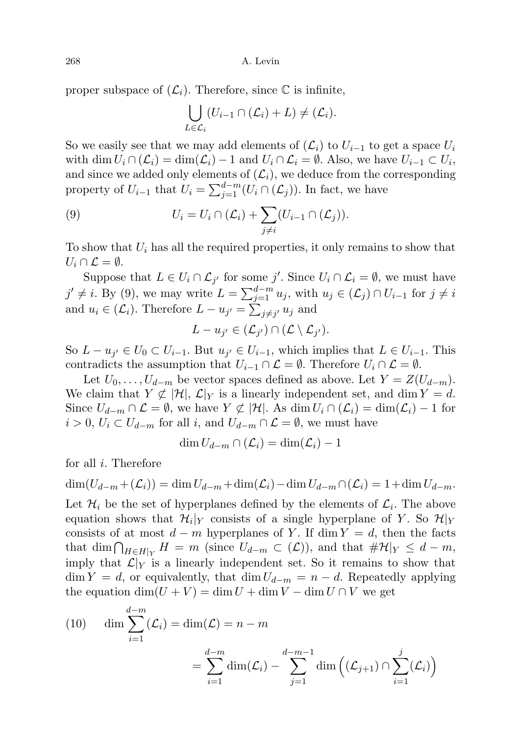proper subspace of  $(\mathcal{L}_i)$ . Therefore, since  $\mathbb C$  is infinite,

$$
\bigcup_{L\in\mathcal{L}_i} (U_{i-1}\cap(\mathcal{L}_i)+L)\neq(\mathcal{L}_i).
$$

So we easily see that we may add elements of  $(\mathcal{L}_i)$  to  $U_{i-1}$  to get a space  $U_i$ with  $\dim U_i \cap (\mathcal{L}_i) = \dim(\mathcal{L}_i) - 1$  and  $U_i \cap \mathcal{L}_i = \emptyset$ . Also, we have  $U_{i-1} \subset U_i$ , and since we added only elements of  $(\mathcal{L}_i)$ , we deduce from the corresponding property of  $U_{i-1}$  that  $U_i = \sum_{j=1}^{d-m} (U_i \cap (\mathcal{L}_j))$ . In fact, we have

(9) 
$$
U_i = U_i \cap (\mathcal{L}_i) + \sum_{j \neq i} (U_{i-1} \cap (\mathcal{L}_j)).
$$

To show that  $U_i$  has all the required properties, it only remains to show that  $U_i \cap \mathcal{L} = \emptyset.$ 

Suppose that  $L \in U_i \cap \mathcal{L}_{j'}$  for some j'. Since  $U_i \cap \mathcal{L}_i = \emptyset$ , we must have  $j' \neq i$ . By (9), we may write  $L = \sum_{j=1}^{d-m} u_j$ , with  $u_j \in (\mathcal{L}_j) \cap U_{i-1}$  for  $j \neq i$ and  $u_i \in (\mathcal{L}_i)$ . Therefore  $L - u_{j'} = \sum_{j \neq j'} u_j$  and

$$
L-u_{j'}\in(\mathcal{L}_{j'})\cap(\mathcal{L}\setminus\mathcal{L}_{j'}).
$$

So  $L - u_{j'} \in U_0 \subset U_{i-1}$ . But  $u_{j'} \in U_{i-1}$ , which implies that  $L \in U_{i-1}$ . This contradicts the assumption that  $U_{i-1} \cap \mathcal{L} = \emptyset$ . Therefore  $U_i \cap \mathcal{L} = \emptyset$ .

Let  $U_0, \ldots, U_{d-m}$  be vector spaces defined as above. Let  $Y = Z(U_{d-m})$ . We claim that  $Y \not\subset |\mathcal{H}|$ ,  $\mathcal{L}|_Y$  is a linearly independent set, and dim  $Y = d$ . Since  $U_{d-m} \cap \mathcal{L} = \emptyset$ , we have  $Y \not\subset |\mathcal{H}|$ . As  $\dim U_i \cap (\mathcal{L}_i) = \dim(\mathcal{L}_i) - 1$  for  $i > 0, U_i \subset U_{d-m}$  for all i, and  $U_{d-m} \cap \mathcal{L} = \emptyset$ , we must have

$$
\dim U_{d-m} \cap (\mathcal{L}_i) = \dim(\mathcal{L}_i) - 1
$$

for all i. Therefore

$$
\dim(U_{d-m}+(\mathcal{L}_i)) = \dim U_{d-m} + \dim(\mathcal{L}_i) - \dim U_{d-m} \cap (\mathcal{L}_i) = 1 + \dim U_{d-m}.
$$

Let  $\mathcal{H}_i$  be the set of hyperplanes defined by the elements of  $\mathcal{L}_i$ . The above equation shows that  $\mathcal{H}_i|_Y$  consists of a single hyperplane of Y. So  $\mathcal{H}|_Y$ consists of at most  $d - m$  hyperplanes of Y. If dim  $Y = d$ , then the facts that dim  $\bigcap_{H \in H|_Y} H = m$  (since  $U_{d-m} \subset (\mathcal{L})$ ), and that  $\#\mathcal{H}|_Y \leq d-m$ , imply that  $\mathcal{L}|_Y$  is a linearly independent set. So it remains to show that  $\dim Y = d$ , or equivalently, that  $\dim U_{d-m} = n - d$ . Repeatedly applying the equation  $\dim(U + V) = \dim U + \dim V - \dim U \cap V$  we get

(10) 
$$
\dim \sum_{i=1}^{d-m} (\mathcal{L}_i) = \dim(\mathcal{L}) = n - m
$$

$$
= \sum_{i=1}^{d-m} \dim(\mathcal{L}_i) - \sum_{j=1}^{d-m-1} \dim \left( (\mathcal{L}_{j+1}) \cap \sum_{i=1}^{j} (\mathcal{L}_i) \right)
$$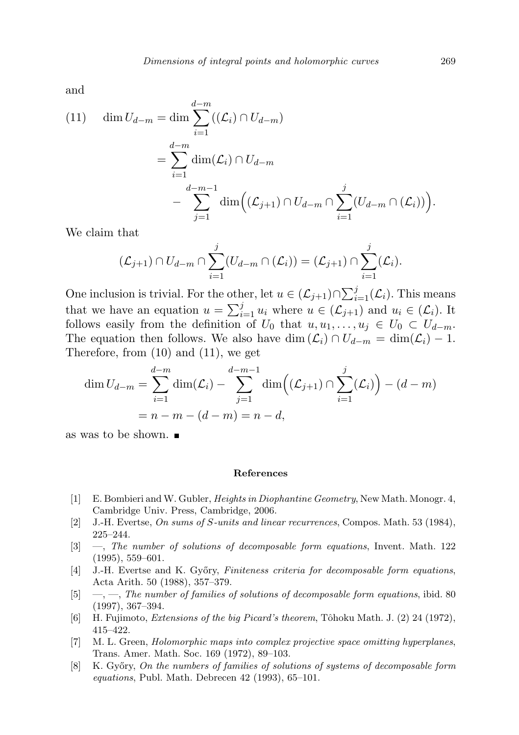and

(11) 
$$
\dim U_{d-m} = \dim \sum_{i=1}^{d-m} ((\mathcal{L}_i) \cap U_{d-m})
$$
  
= 
$$
\sum_{i=1}^{d-m} \dim(\mathcal{L}_i) \cap U_{d-m}
$$
  
- 
$$
\sum_{j=1}^{d-m-1} \dim ((\mathcal{L}_{j+1}) \cap U_{d-m} \cap \sum_{i=1}^{j} (U_{d-m} \cap (\mathcal{L}_i))).
$$

We claim that

$$
(\mathcal{L}_{j+1}) \cap U_{d-m} \cap \sum_{i=1}^j (U_{d-m} \cap (\mathcal{L}_i)) = (\mathcal{L}_{j+1}) \cap \sum_{i=1}^j (\mathcal{L}_i).
$$

One inclusion is trivial. For the other, let  $u \in (\mathcal{L}_{j+1}) \cap \sum_{i=1}^{j} (\mathcal{L}_i)$ . This means that we have an equation  $u = \sum_{i=1}^{j} u_i$  where  $u \in (\mathcal{L}_{j+1})$  and  $u_i \in (\mathcal{L}_i)$ . It follows easily from the definition of  $U_0$  that  $u, u_1, \ldots, u_j \in U_0 \subset U_{d-m}$ . The equation then follows. We also have dim  $(\mathcal{L}_i) \cap U_{d-m} = \dim(\mathcal{L}_i) - 1$ . Therefore, from (10) and (11), we get

$$
\dim U_{d-m} = \sum_{i=1}^{d-m} \dim(\mathcal{L}_i) - \sum_{j=1}^{d-m-1} \dim((\mathcal{L}_{j+1}) \cap \sum_{i=1}^{j} (\mathcal{L}_i)) - (d-m) \n= n - m - (d-m) = n - d,
$$

as was to be shown.

#### References

- [1] E. Bombieri and W. Gubler, Heights in Diophantine Geometry, New Math. Monogr. 4, Cambridge Univ. Press, Cambridge, 2006.
- [2] J.-H. Evertse, On sums of S-units and linear recurrences, Compos. Math. 53 (1984), 225–244.
- [3] —, The number of solutions of decomposable form equations, Invent. Math. 122 (1995), 559–601.
- [4] J.-H. Evertse and K. Győry, Finiteness criteria for decomposable form equations, Acta Arith. 50 (1988), 357–379.
- $[5] \quad -$ , The number of families of solutions of decomposable form equations, ibid. 80 (1997), 367–394.
- [6] H. Fujimoto, *Extensions of the big Picard's theorem*, Tôhoku Math. J. (2) 24 (1972), 415–422.
- [7] M. L. Green, Holomorphic maps into complex projective space omitting hyperplanes, Trans. Amer. Math. Soc. 169 (1972), 89–103.
- [8] K. Győry, On the numbers of families of solutions of systems of decomposable form  $equations, Publ. Math. Debrecen 42 (1993), 65–101.$